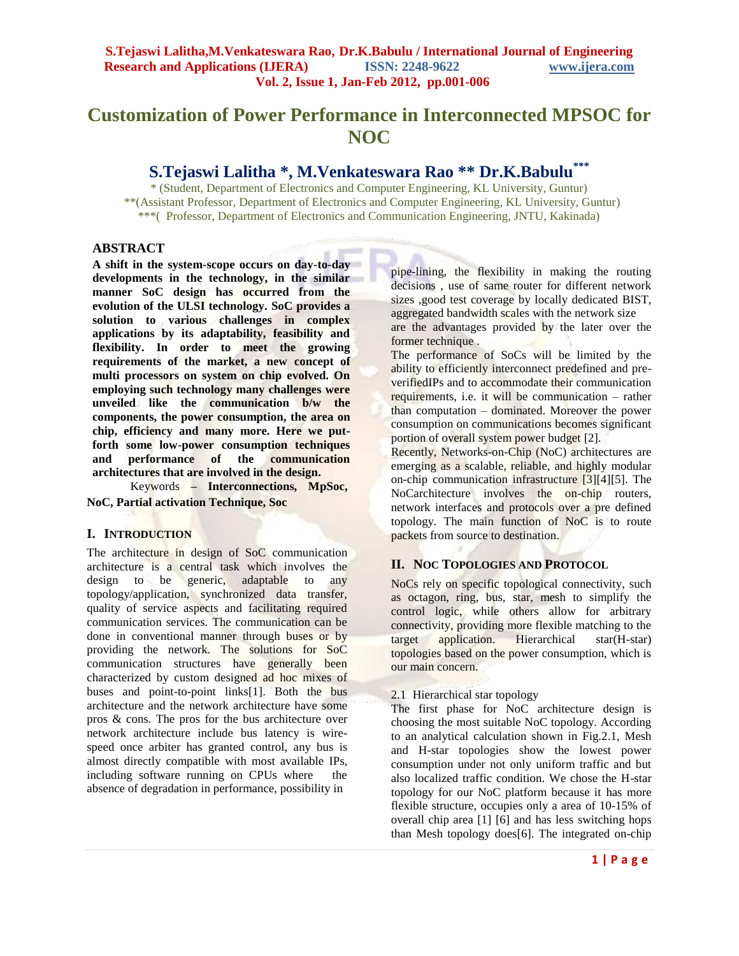# **Customization of Power Performance in Interconnected MPSOC for NOC**

# **S.Tejaswi Lalitha \*, M.Venkateswara Rao \*\* Dr.K.Babulu\*\*\***

\* (Student, Department of Electronics and Computer Engineering, KL University, Guntur) \*\*(Assistant Professor, Department of Electronics and Computer Engineering, KL University, Guntur) \*\*\*( Professor, Department of Electronics and Communication Engineering, JNTU, Kakinada)

# **ABSTRACT**

**A shift in the system-scope occurs on day-to-day developments in the technology, in the similar manner SoC design has occurred from the evolution of the ULSI technology. SoC provides a solution to various challenges in complex applications by its adaptability, feasibility and flexibility. In order to meet the growing requirements of the market, a new concept of multi processors on system on chip evolved. On employing such technology many challenges were unveiled like the communication b/w the components, the power consumption, the area on chip, efficiency and many more. Here we putforth some low-power consumption techniques and performance of the communication architectures that are involved in the design.**

Keywords **– Interconnections, MpSoc, NoC, Partial activation Technique, Soc**

# **I. INTRODUCTION**

The architecture in design of SoC communication architecture is a central task which involves the design to be generic, adaptable to any topology/application, synchronized data transfer, quality of service aspects and facilitating required communication services. The communication can be done in conventional manner through buses or by providing the network. The solutions for SoC communication structures have generally been characterized by custom designed ad hoc mixes of buses and point-to-point links[1]. Both the bus architecture and the network architecture have some pros & cons. The pros for the bus architecture over network architecture include bus latency is wirespeed once arbiter has granted control, any bus is almost directly compatible with most available IPs, including software running on CPUs where the absence of degradation in performance, possibility in

pipe-lining, the flexibility in making the routing decisions , use of same router for different network sizes ,good test coverage by locally dedicated BIST, aggregated bandwidth scales with the network size are the advantages provided by the later over the former technique.

The performance of SoCs will be limited by the ability to efficiently interconnect predefined and preverifiedIPs and to accommodate their communication requirements, i.e. it will be communication – rather than computation – dominated. Moreover the power consumption on communications becomes significant portion of overall system power budget [2].

Recently, Networks-on-Chip (NoC) architectures are emerging as a scalable, reliable, and highly modular on-chip communication infrastructure [3][4][5]. The NoCarchitecture involves the on-chip routers, network interfaces and protocols over a pre defined topology. The main function of NoC is to route packets from source to destination.

# **II. NOC TOPOLOGIES AND PROTOCOL**

NoCs rely on specific topological connectivity, such as octagon, ring, bus, star, mesh to simplify the control logic, while others allow for arbitrary connectivity, providing more flexible matching to the target application. Hierarchical star(H-star) topologies based on the power consumption, which is our main concern.

# 2.1 Hierarchical star topology

The first phase for NoC architecture design is choosing the most suitable NoC topology. According to an analytical calculation shown in Fig.2.1, Mesh and H-star topologies show the lowest power consumption under not only uniform traffic and but also localized traffic condition. We chose the H-star topology for our NoC platform because it has more flexible structure, occupies only a area of 10-15% of overall chip area [1] [6] and has less switching hops than Mesh topology does[6]. The integrated on-chip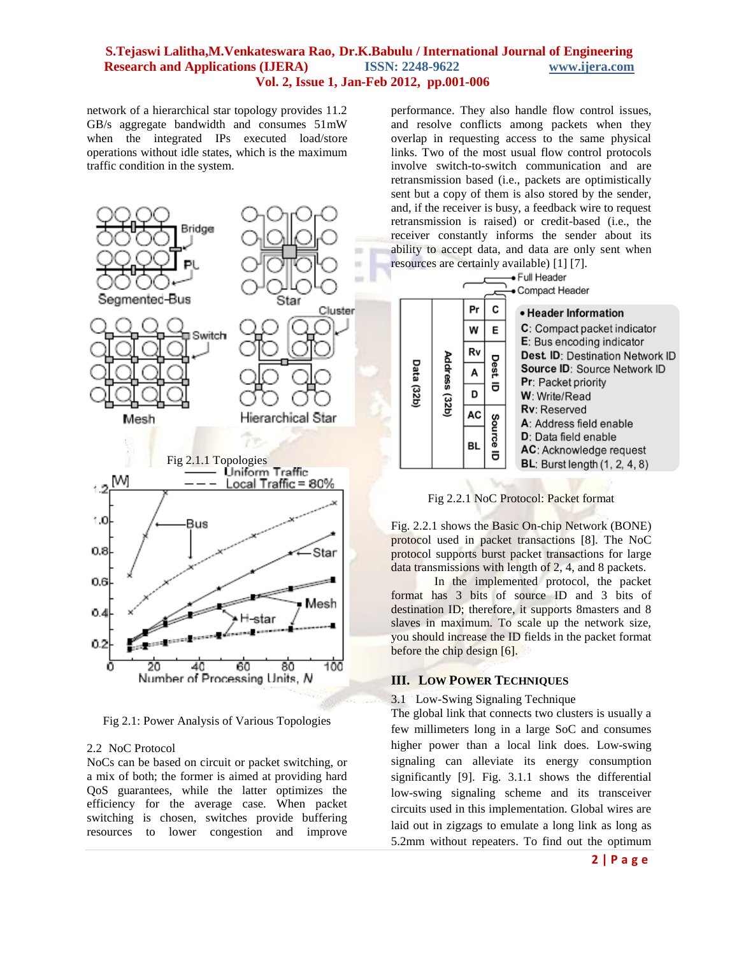network of a hierarchical star topology provides 11.2 GB/s aggregate bandwidth and consumes 51mW when the integrated IPs executed load/store operations without idle states, which is the maximum traffic condition in the system.



Fig 2.1: Power Analysis of Various Topologies

#### 2.2 NoC Protocol

NoCs can be based on circuit or packet switching, or a mix of both; the former is aimed at providing hard QoS guarantees, while the latter optimizes the efficiency for the average case. When packet switching is chosen, switches provide buffering resources to lower congestion and improve performance. They also handle flow control issues, and resolve conflicts among packets when they overlap in requesting access to the same physical links. Two of the most usual flow control protocols involve switch-to-switch communication and are retransmission based (i.e., packets are optimistically sent but a copy of them is also stored by the sender, and, if the receiver is busy, a feedback wire to request retransmission is raised) or credit-based (i.e., the receiver constantly informs the sender about its ability to accept data, and data are only sent when resources are certainly available) [1] [7].

| • Full Header<br>• Compact Header |               |               |             |                                                                                                                                                                                                                                                                                                                                                                              |
|-----------------------------------|---------------|---------------|-------------|------------------------------------------------------------------------------------------------------------------------------------------------------------------------------------------------------------------------------------------------------------------------------------------------------------------------------------------------------------------------------|
| <b>Data (32b)</b>                 | Address (32b) | Pr<br>W<br>Rv | C<br>E      | • Header Information<br>C: Compact packet indicator<br>E: Bus encoding indicator<br>Dest. ID: Destination Network ID<br><b>Source ID: Source Network ID</b><br><b>Pr</b> : Packet priority<br><b>W</b> : Write/Read<br><b>Rv</b> : Reserved<br>A: Address field enable<br><b>D</b> : Data field enable<br>AC: Acknowledge request<br><b>BL</b> : Burst length $(1, 2, 4, 8)$ |
|                                   |               | A<br>D        | Dest ID     |                                                                                                                                                                                                                                                                                                                                                                              |
|                                   |               | AC<br>BL      | Source<br>ᇹ |                                                                                                                                                                                                                                                                                                                                                                              |

Fig 2.2.1 NoC Protocol: Packet format

Fig. 2.2.1 shows the Basic On-chip Network (BONE) protocol used in packet transactions [8]. The NoC protocol supports burst packet transactions for large data transmissions with length of 2, 4, and 8 packets.

In the implemented protocol, the packet format has 3 bits of source ID and 3 bits of destination ID; therefore, it supports 8masters and 8 slaves in maximum. To scale up the network size, you should increase the ID fields in the packet format before the chip design [6].

### **III. LOW POWER TECHNIQUES**

#### 3.1 Low-Swing Signaling Technique

The global link that connects two clusters is usually a few millimeters long in a large SoC and consumes higher power than a local link does. Low-swing signaling can alleviate its energy consumption significantly [9]. Fig. 3.1.1 shows the differential low-swing signaling scheme and its transceiver circuits used in this implementation. Global wires are laid out in zigzags to emulate a long link as long as 5.2mm without repeaters. To find out the optimum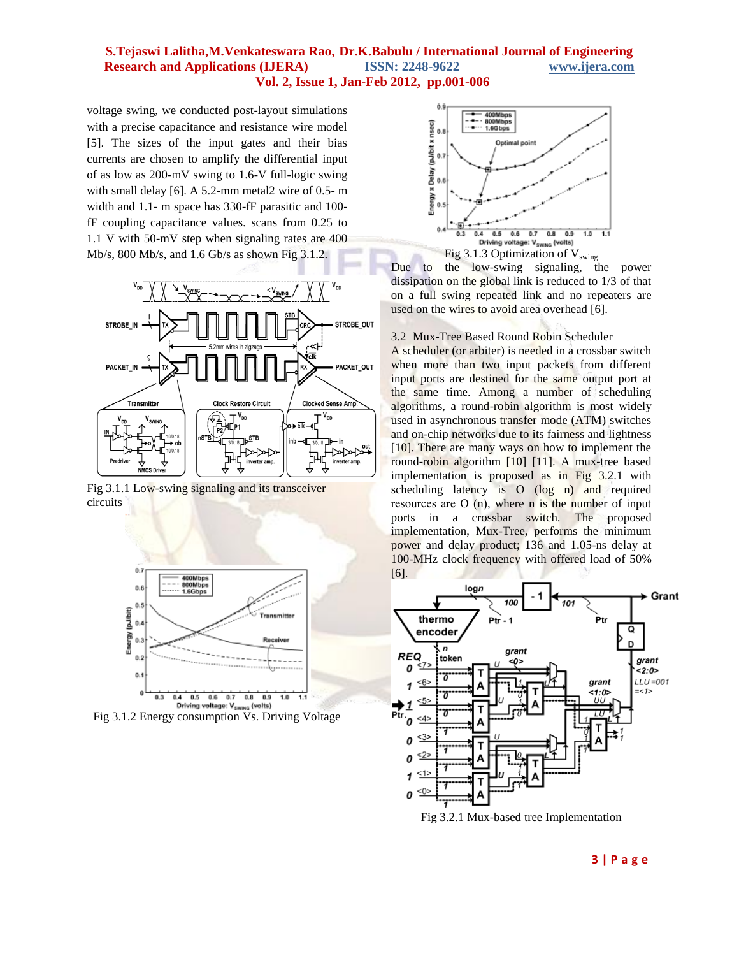voltage swing, we conducted post-layout simulations with a precise capacitance and resistance wire model [5]. The sizes of the input gates and their bias currents are chosen to amplify the differential input of as low as 200-mV swing to 1.6-V full-logic swing with small delay [6]. A 5.2-mm metal2 wire of 0.5- m width and 1.1- m space has 330-fF parasitic and 100 fF coupling capacitance values. scans from 0.25 to 1.1 V with 50-mV step when signaling rates are 400 Mb/s, 800 Mb/s, and 1.6 Gb/s as shown Fig 3.1.2.



Fig 3.1.1 Low-swing signaling and its transceiver circuits



Driving voltage: V<sub>SWNG</sub> (volts)<br>Fig 3.1.2 Energy consumption Vs. Driving Voltage



Due to the low-swing signaling, the power dissipation on the global link is reduced to 1/3 of that on a full swing repeated link and no repeaters are used on the wires to avoid area overhead [6].

3.2 Mux-Tree Based Round Robin Scheduler

A scheduler (or arbiter) is needed in a crossbar switch when more than two input packets from different input ports are destined for the same output port at the same time. Among a number of scheduling algorithms, a round-robin algorithm is most widely used in asynchronous transfer mode (ATM) switches and on-chip networks due to its fairness and lightness [10]. There are many ways on how to implement the round-robin algorithm [10] [11]. A mux-tree based implementation is proposed as in Fig 3.2.1 with scheduling latency is O (log n) and required resources are Ο (n), where n is the number of input ports in a crossbar switch. The proposed implementation, Mux-Tree, performs the minimum power and delay product; 136 and 1.05-ns delay at 100-MHz clock frequency with offered load of 50% [6].

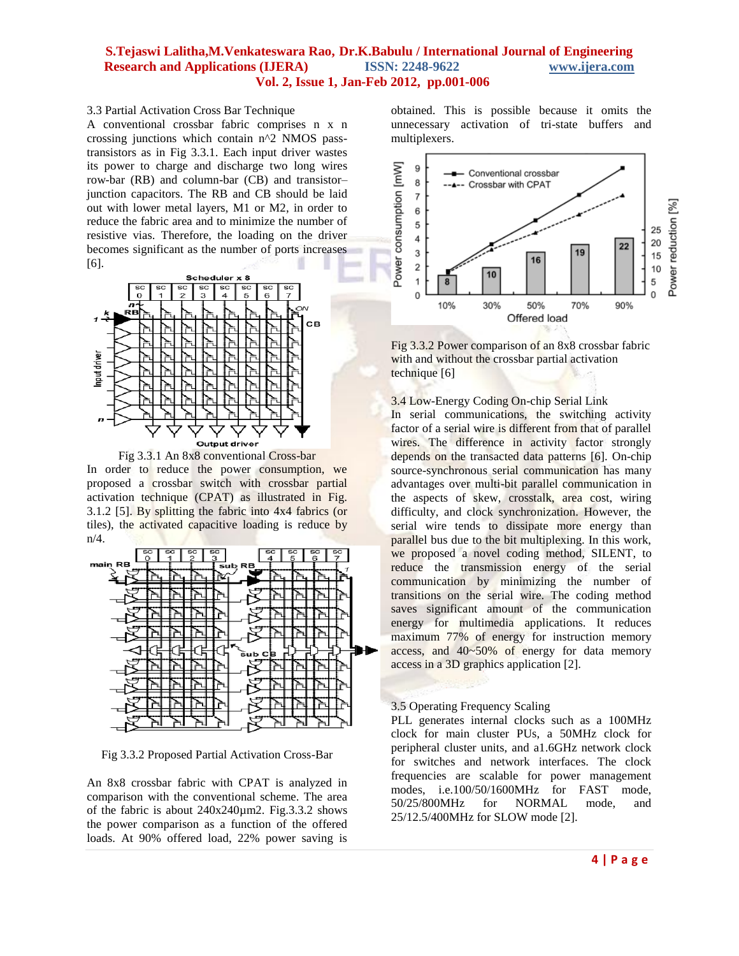#### 3.3 Partial Activation Cross Bar Technique

A conventional crossbar fabric comprises n x n crossing junctions which contain n^2 NMOS passtransistors as in Fig 3.3.1. Each input driver wastes its power to charge and discharge two long wires row-bar (RB) and column-bar (CB) and transistor– junction capacitors. The RB and CB should be laid out with lower metal layers, M1 or M2, in order to reduce the fabric area and to minimize the number of resistive vias. Therefore, the loading on the driver becomes significant as the number of ports increases [6].





In order to reduce the power consumption, we proposed a crossbar switch with crossbar partial activation technique (CPAT) as illustrated in Fig. 3.1.2 [5]. By splitting the fabric into 4x4 fabrics (or tiles), the activated capacitive loading is reduce by n/4.



Fig 3.3.2 Proposed Partial Activation Cross-Bar

An 8x8 crossbar fabric with CPAT is analyzed in comparison with the conventional scheme. The area of the fabric is about 240x240µm2. Fig.3.3.2 shows the power comparison as a function of the offered loads. At 90% offered load, 22% power saving is obtained. This is possible because it omits the unnecessary activation of tri-state buffers and multiplexers.



Fig 3.3.2 Power comparison of an 8x8 crossbar fabric with and without the crossbar partial activation technique [6]

3.4 Low-Energy Coding On-chip Serial Link

In serial communications, the switching activity factor of a serial wire is different from that of parallel wires. The difference in activity factor strongly depends on the transacted data patterns [6]. On-chip source-synchronous serial communication has many advantages over multi-bit parallel communication in the aspects of skew, crosstalk, area cost, wiring difficulty, and clock synchronization. However, the serial wire tends to dissipate more energy than parallel bus due to the bit multiplexing. In this work, we proposed a novel coding method, SILENT, to reduce the transmission energy of the serial communication by minimizing the number of transitions on the serial wire. The coding method saves significant amount of the communication energy for multimedia applications. It reduces maximum 77% of energy for instruction memory access, and 40~50% of energy for data memory access in a 3D graphics application [2].

#### 3.5 Operating Frequency Scaling

PLL generates internal clocks such as a 100MHz clock for main cluster PUs, a 50MHz clock for peripheral cluster units, and a1.6GHz network clock for switches and network interfaces. The clock frequencies are scalable for power management modes, i.e.100/50/1600MHz for FAST mode, 50/25/800MHz for NORMAL mode, and 25/12.5/400MHz for SLOW mode [2].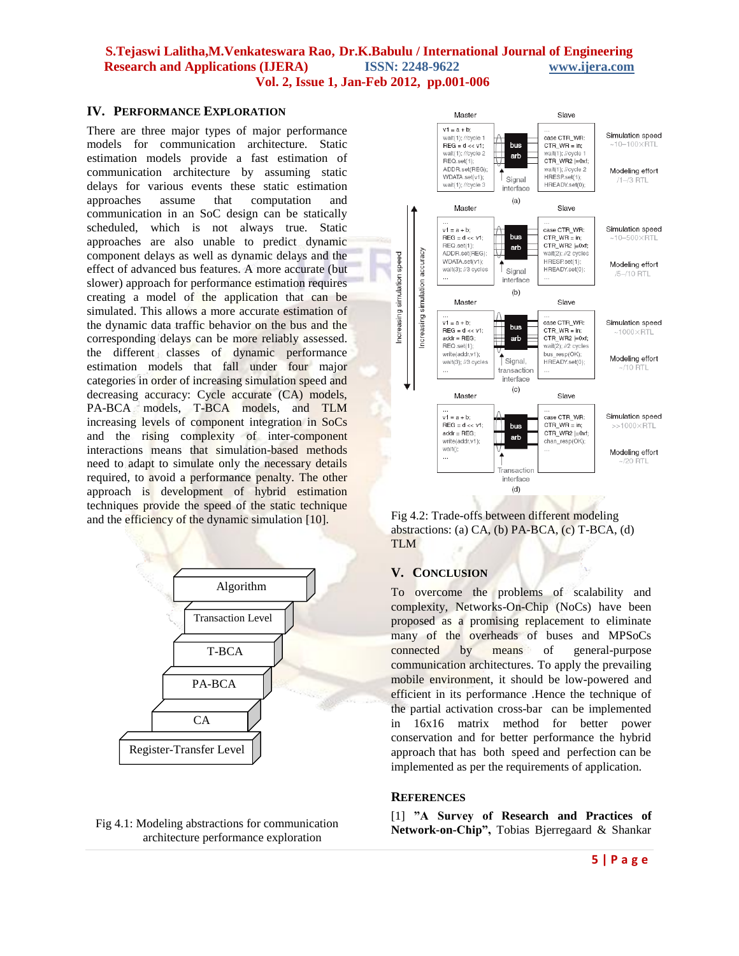#### **IV. PERFORMANCE EXPLORATION**

There are three major types of major performance models for communication architecture. Static estimation models provide a fast estimation of communication architecture by assuming static delays for various events these static estimation approaches assume that computation and communication in an SoC design can be statically scheduled, which is not always true. Static approaches are also unable to predict dynamic component delays as well as dynamic delays and the effect of advanced bus features. A more accurate (but slower) approach for performance estimation requires creating a model of the application that can be simulated. This allows a more accurate estimation of the dynamic data traffic behavior on the bus and the corresponding delays can be more reliably assessed. the different classes of dynamic performance estimation models that fall under four major categories in order of increasing simulation speed and decreasing accuracy: Cycle accurate (CA) models, PA-BCA models, T-BCA models, and TLM increasing levels of component integration in SoCs and the rising complexity of inter-component interactions means that simulation-based methods need to adapt to simulate only the necessary details required, to avoid a performance penalty. The other approach is development of hybrid estimation techniques provide the speed of the static technique and the efficiency of the dynamic simulation [10].



#### Fig 4.1: Modeling abstractions for communication architecture performance exploration



Fig 4.2: Trade-offs between different modeling abstractions: (a) CA, (b) PA-BCA, (c) T-BCA, (d) TLM

#### **V. CONCLUSION**

To overcome the problems of scalability and complexity, Networks-On-Chip (NoCs) have been proposed as a promising replacement to eliminate many of the overheads of buses and MPSoCs connected by means of general-purpose communication architectures. To apply the prevailing mobile environment, it should be low-powered and efficient in its performance .Hence the technique of the partial activation cross-bar can be implemented in 16x16 matrix method for better power conservation and for better performance the hybrid approach that has both speed and perfection can be implemented as per the requirements of application.

#### **REFERENCES**

[1] **"A Survey of Research and Practices of Network-on-Chip",** Tobias Bjerregaard & Shankar